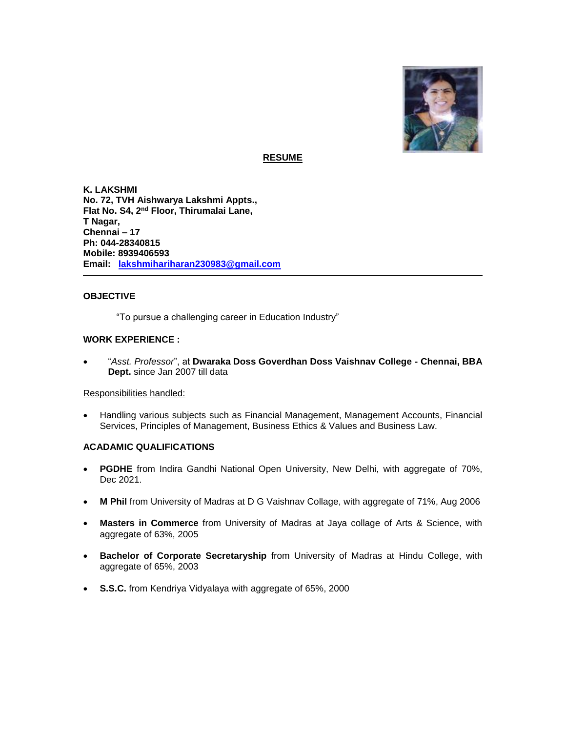

#### **RESUME**

**K. LAKSHMI No. 72, TVH Aishwarya Lakshmi Appts., Flat No. S4, 2nd Floor, Thirumalai Lane, T Nagar, Chennai – 17 Ph: 044-28340815 Mobile: 8939406593 Email: [lakshmihariharan230983@gmail.com](mailto:lakshmihariharan230983@gmail.com)**

#### **OBJECTIVE**

"To pursue a challenging career in Education Industry"

#### **WORK EXPERIENCE :**

 "*Asst. Professor*", at **Dwaraka Doss Goverdhan Doss Vaishnav College - Chennai, BBA Dept.** since Jan 2007 till data

#### Responsibilities handled:

 Handling various subjects such as Financial Management, Management Accounts, Financial Services, Principles of Management, Business Ethics & Values and Business Law.

#### **ACADAMIC QUALIFICATIONS**

- **PGDHE** from Indira Gandhi National Open University, New Delhi, with aggregate of 70%, Dec 2021.
- **M Phil** from University of Madras at D G Vaishnav Collage, with aggregate of 71%, Aug 2006
- **Masters in Commerce** from University of Madras at Jaya collage of Arts & Science, with aggregate of 63%, 2005
- **Bachelor of Corporate Secretaryship** from University of Madras at Hindu College, with aggregate of 65%, 2003
- **S.S.C.** from Kendriya Vidyalaya with aggregate of 65%, 2000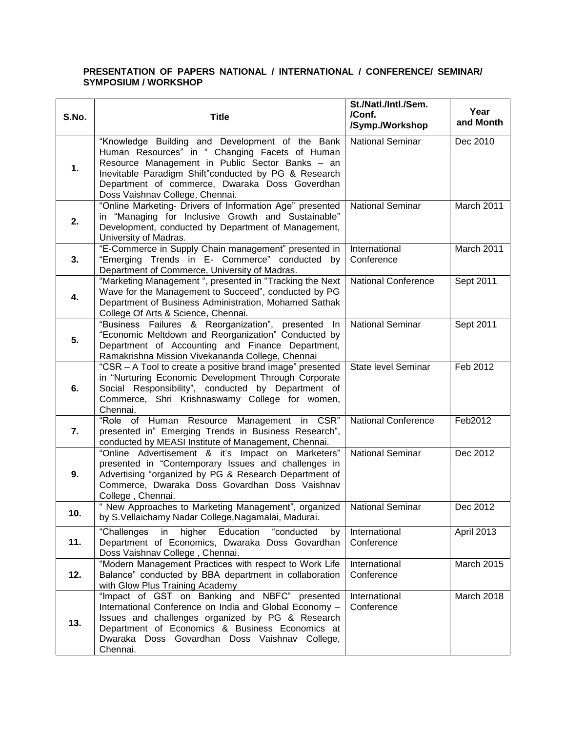# **PRESENTATION OF PAPERS NATIONAL / INTERNATIONAL / CONFERENCE/ SEMINAR/ SYMPOSIUM / WORKSHOP**

| S.No. | <b>Title</b>                                                                                                                                                                                                                                                                                                                 | St./Natl./Intl./Sem.<br>/Conf.<br>/Symp./Workshop | Year<br>and Month |
|-------|------------------------------------------------------------------------------------------------------------------------------------------------------------------------------------------------------------------------------------------------------------------------------------------------------------------------------|---------------------------------------------------|-------------------|
| 1.    | "Knowledge Building and Development of the Bank<br><b>National Seminar</b><br>Human Resources" in " Changing Facets of Human<br>Resource Management in Public Sector Banks - an<br>Inevitable Paradigm Shift"conducted by PG & Research<br>Department of commerce, Dwaraka Doss Goverdhan<br>Doss Vaishnav College, Chennai. |                                                   | Dec 2010          |
| 2.    | "Online Marketing- Drivers of Information Age" presented<br>in "Managing for Inclusive Growth and Sustainable"<br>Development, conducted by Department of Management,<br>University of Madras.                                                                                                                               | <b>National Seminar</b><br>March 2011             |                   |
| 3.    | "E-Commerce in Supply Chain management" presented in<br>"Emerging Trends in E- Commerce" conducted by<br>Department of Commerce, University of Madras.                                                                                                                                                                       | International<br>Conference                       | March 2011        |
| 4.    | "Marketing Management", presented in "Tracking the Next<br><b>National Conference</b><br>Wave for the Management to Succeed", conducted by PG<br>Department of Business Administration, Mohamed Sathak<br>College Of Arts & Science, Chennai.                                                                                |                                                   | Sept 2011         |
| 5.    | "Business Failures & Reorganization", presented In<br>"Economic Meltdown and Reorganization" Conducted by<br>Department of Accounting and Finance Department,<br>Ramakrishna Mission Vivekananda College, Chennai                                                                                                            | <b>National Seminar</b>                           | Sept 2011         |
| 6.    | "CSR - A Tool to create a positive brand image" presented<br>in "Nurturing Economic Development Through Corporate<br>Social Responsibility", conducted by Department of<br>Commerce, Shri Krishnaswamy College for women,<br>Chennai.                                                                                        | State level Seminar                               | Feb 2012          |
| 7.    | "Role of Human Resource Management in CSR"<br>presented in" Emerging Trends in Business Research",<br>conducted by MEASI Institute of Management, Chennai.                                                                                                                                                                   | <b>National Conference</b>                        | Feb2012           |
| 9.    | <b>National Seminar</b><br>"Online Advertisement & it's Impact on Marketers"<br>presented in "Contemporary Issues and challenges in<br>Advertising "organized by PG & Research Department of<br>Commerce, Dwaraka Doss Govardhan Doss Vaishnav<br>College, Chennai.                                                          |                                                   | Dec 2012          |
| 10.   | " New Approaches to Marketing Management", organized<br>by S. Vellaichamy Nadar College, Nagamalai, Madurai.                                                                                                                                                                                                                 | <b>National Seminar</b>                           | Dec 2012          |
| 11.   | in<br>higher<br>Education<br>"conducted<br>"Challenges<br>by<br>Department of Economics, Dwaraka Doss Govardhan<br>Doss Vaishnav College, Chennai.                                                                                                                                                                           | International<br>Conference                       | <b>April 2013</b> |
| 12.   | "Modern Management Practices with respect to Work Life<br>Balance" conducted by BBA department in collaboration<br>with Glow Plus Training Academy                                                                                                                                                                           | International<br>Conference                       | March 2015        |
| 13.   | "Impact of GST on Banking and NBFC" presented<br>International Conference on India and Global Economy -<br>Issues and challenges organized by PG & Research<br>Department of Economics & Business Economics at<br>Dwaraka Doss Govardhan Doss Vaishnav College,<br>Chennai.                                                  | International<br>Conference                       | March 2018        |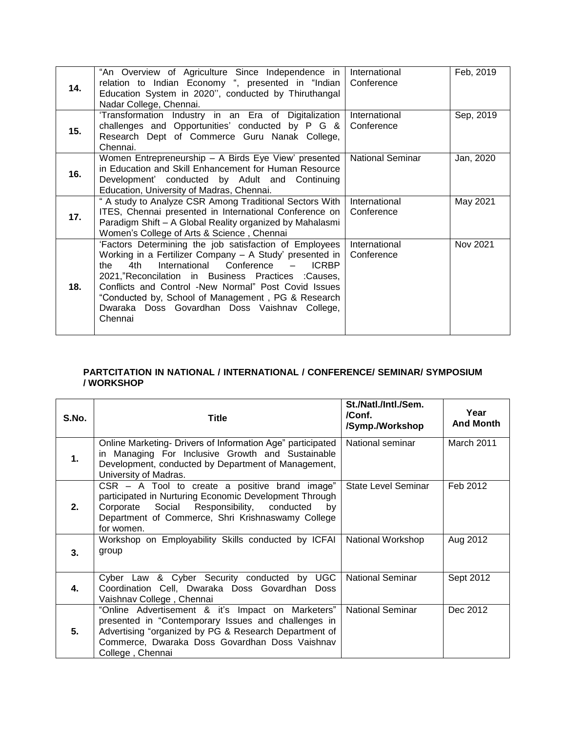| 14. | "An Overview of Agriculture Since Independence in<br>relation to Indian Economy ", presented in "Indian<br>Education System in 2020", conducted by Thiruthangal<br>Nadar College, Chennai.                                                                                                                                                                                                                   | International<br>Conference | Feb, 2019 |
|-----|--------------------------------------------------------------------------------------------------------------------------------------------------------------------------------------------------------------------------------------------------------------------------------------------------------------------------------------------------------------------------------------------------------------|-----------------------------|-----------|
| 15. | 'Transformation Industry in an Era of Digitalization<br>challenges and Opportunities' conducted by P G &<br>Research Dept of Commerce Guru Nanak College,<br>Chennai.                                                                                                                                                                                                                                        | International<br>Conference | Sep, 2019 |
| 16. | Women Entrepreneurship - A Birds Eye View' presented<br>in Education and Skill Enhancement for Human Resource<br>Development' conducted by Adult and Continuing<br>Education, University of Madras, Chennai.                                                                                                                                                                                                 | <b>National Seminar</b>     | Jan, 2020 |
| 17. | " A study to Analyze CSR Among Traditional Sectors With<br>ITES, Chennai presented in International Conference on<br>Paradigm Shift - A Global Reality organized by Mahalasmi<br>Women's College of Arts & Science, Chennai                                                                                                                                                                                  | International<br>Conference | May 2021  |
| 18. | 'Factors Determining the job satisfaction of Employees<br>Working in a Fertilizer Company - A Study' presented in<br>International Conference<br>4th<br><b>ICRBP</b><br>the<br>2021, Reconcilation in Business Practices : Causes,<br>Conflicts and Control -New Normal" Post Covid Issues<br>"Conducted by, School of Management, PG & Research<br>Dwaraka Doss Govardhan Doss Vaishnav College,<br>Chennai | International<br>Conference | Nov 2021  |

## **PARTCITATION IN NATIONAL / INTERNATIONAL / CONFERENCE/ SEMINAR/ SYMPOSIUM / WORKSHOP**

| S.No. | <b>Title</b>                                                                                                                                                                                                                                                     | St./Natl./Intl./Sem.<br>/Conf.<br>/Symp./Workshop | Year<br><b>And Month</b> |
|-------|------------------------------------------------------------------------------------------------------------------------------------------------------------------------------------------------------------------------------------------------------------------|---------------------------------------------------|--------------------------|
| 1.    | Online Marketing- Drivers of Information Age" participated<br>in Managing For Inclusive Growth and Sustainable<br>Development, conducted by Department of Management,<br>University of Madras.                                                                   | National seminar                                  | March 2011               |
| 2.    | <b>State Level Seminar</b><br>CSR – A Tool to create a positive brand image"<br>participated in Nurturing Economic Development Through<br>Social Responsibility, conducted<br>Corporate<br>bv<br>Department of Commerce, Shri Krishnaswamy College<br>for women. |                                                   | Feb 2012                 |
| 3.    | Workshop on Employability Skills conducted by ICFAI<br>group                                                                                                                                                                                                     | National Workshop                                 | Aug 2012                 |
| 4.    | Cyber Law & Cyber Security conducted by UGC<br>Coordination Cell, Dwaraka Doss Govardhan Doss<br>Vaishnav College, Chennai                                                                                                                                       | <b>National Seminar</b>                           | Sept 2012                |
| 5.    | "Online Advertisement & it's Impact on Marketers"<br>presented in "Contemporary Issues and challenges in<br>Advertising "organized by PG & Research Department of<br>Commerce, Dwaraka Doss Govardhan Doss Vaishnav<br>College, Chennai                          | <b>National Seminar</b>                           | Dec 2012                 |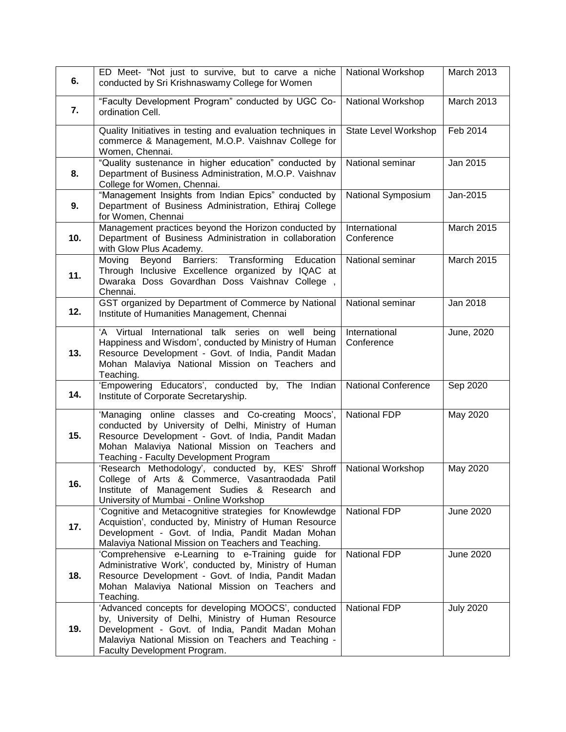| 6.  | ED Meet- "Not just to survive, but to carve a niche<br>conducted by Sri Krishnaswamy College for Women                                                                                                                                                      | National Workshop              | March 2013        |
|-----|-------------------------------------------------------------------------------------------------------------------------------------------------------------------------------------------------------------------------------------------------------------|--------------------------------|-------------------|
| 7.  | "Faculty Development Program" conducted by UGC Co-<br>ordination Cell.                                                                                                                                                                                      | National Workshop              | March 2013        |
|     | Quality Initiatives in testing and evaluation techniques in<br>commerce & Management, M.O.P. Vaishnav College for<br>Women, Chennai.                                                                                                                        | State Level Workshop           | Feb 2014          |
| 8.  | "Quality sustenance in higher education" conducted by<br>Department of Business Administration, M.O.P. Vaishnav<br>College for Women, Chennai.                                                                                                              | National seminar<br>Jan 2015   |                   |
| 9.  | "Management Insights from Indian Epics" conducted by<br>Department of Business Administration, Ethiraj College<br>for Women, Chennai                                                                                                                        | National Symposium<br>Jan-2015 |                   |
| 10. | Management practices beyond the Horizon conducted by<br>Department of Business Administration in collaboration<br>with Glow Plus Academy.                                                                                                                   | International<br>Conference    | <b>March 2015</b> |
| 11. | Beyond Barriers:<br>Transforming Education<br>Moving<br>Through Inclusive Excellence organized by IQAC at<br>Dwaraka Doss Govardhan Doss Vaishnav College,<br>Chennai.                                                                                      | National seminar               | <b>March 2015</b> |
| 12. | GST organized by Department of Commerce by National<br>Institute of Humanities Management, Chennai                                                                                                                                                          | National seminar               | Jan 2018          |
| 13. | 'A Virtual International talk series on well being<br>Happiness and Wisdom', conducted by Ministry of Human<br>Resource Development - Govt. of India, Pandit Madan<br>Mohan Malaviya National Mission on Teachers and<br>Teaching.                          | International<br>Conference    | June, 2020        |
| 14. | 'Empowering Educators', conducted by, The Indian<br>Institute of Corporate Secretaryship.                                                                                                                                                                   | <b>National Conference</b>     | Sep 2020          |
| 15. | 'Managing online classes and Co-creating Moocs',<br>conducted by University of Delhi, Ministry of Human<br>Resource Development - Govt. of India, Pandit Madan<br>Mohan Malaviya National Mission on Teachers and<br>Teaching - Faculty Development Program | National FDP                   | May 2020          |
| 16. | 'Research Methodology', conducted by, KES' Shroff<br>College of Arts & Commerce, Vasantraodada Patil<br>Institute of Management Sudies & Research and<br>University of Mumbai - Online Workshop                                                             | National Workshop              | May 2020          |
| 17. | 'Cognitive and Metacognitive strategies for Knowlewdge<br>Acquistion', conducted by, Ministry of Human Resource<br>Development - Govt. of India, Pandit Madan Mohan<br>Malaviya National Mission on Teachers and Teaching.                                  | <b>National FDP</b>            | <b>June 2020</b>  |
| 18. | 'Comprehensive e-Learning to e-Training guide for<br>Administrative Work', conducted by, Ministry of Human<br>Resource Development - Govt. of India, Pandit Madan<br>Mohan Malaviya National Mission on Teachers and<br>Teaching.                           | <b>National FDP</b>            | <b>June 2020</b>  |
| 19. | 'Advanced concepts for developing MOOCS', conducted<br>by, University of Delhi, Ministry of Human Resource<br>Development - Govt. of India, Pandit Madan Mohan<br>Malaviya National Mission on Teachers and Teaching -<br>Faculty Development Program.      | <b>National FDP</b>            | <b>July 2020</b>  |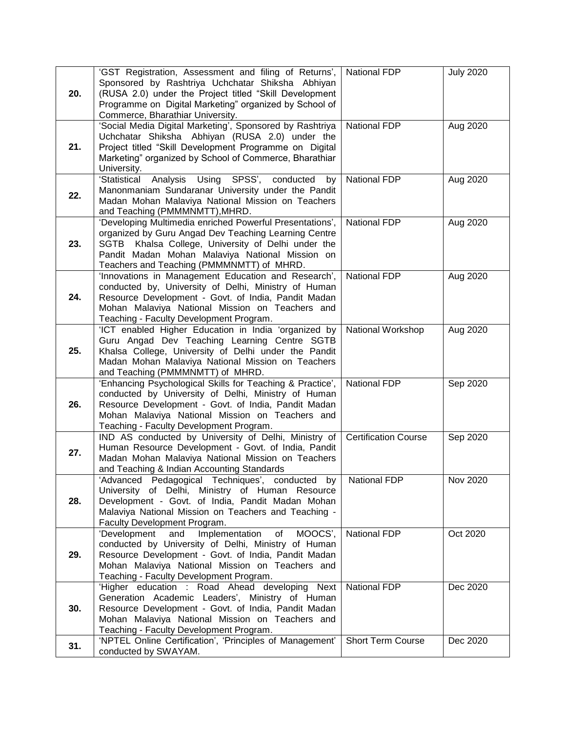| 20. | 'GST Registration, Assessment and filing of Returns',<br>Sponsored by Rashtriya Uchchatar Shiksha Abhiyan<br>(RUSA 2.0) under the Project titled "Skill Development<br>Programme on Digital Marketing" organized by School of<br>Commerce, Bharathiar University.      | National FDP                | <b>July 2020</b> |
|-----|------------------------------------------------------------------------------------------------------------------------------------------------------------------------------------------------------------------------------------------------------------------------|-----------------------------|------------------|
| 21. | 'Social Media Digital Marketing', Sponsored by Rashtriya<br>National FDP<br>Uchchatar Shiksha Abhiyan (RUSA 2.0) under the<br>Project titled "Skill Development Programme on Digital<br>Marketing" organized by School of Commerce, Bharathiar<br>University.          |                             | Aug 2020         |
| 22. | Analysis Using SPSS', conducted<br>'Statistical<br>by<br>Manonmaniam Sundaranar University under the Pandit<br>Madan Mohan Malaviya National Mission on Teachers<br>and Teaching (PMMMNMTT), MHRD.                                                                     | National FDP<br>Aug 2020    |                  |
| 23. | 'Developing Multimedia enriched Powerful Presentations',<br>organized by Guru Angad Dev Teaching Learning Centre<br>SGTB Khalsa College, University of Delhi under the<br>Pandit Madan Mohan Malaviya National Mission on<br>Teachers and Teaching (PMMMNMTT) of MHRD. | National FDP                | Aug 2020         |
| 24. | 'Innovations in Management Education and Research',<br>conducted by, University of Delhi, Ministry of Human<br>Resource Development - Govt. of India, Pandit Madan<br>Mohan Malaviya National Mission on Teachers and<br>Teaching - Faculty Development Program.       | National FDP                | Aug 2020         |
| 25. | 'ICT enabled Higher Education in India 'organized by<br>Guru Angad Dev Teaching Learning Centre SGTB<br>Khalsa College, University of Delhi under the Pandit<br>Madan Mohan Malaviya National Mission on Teachers<br>and Teaching (PMMMNMTT) of MHRD.                  | National Workshop           | Aug 2020         |
| 26. | 'Enhancing Psychological Skills for Teaching & Practice',<br>conducted by University of Delhi, Ministry of Human<br>Resource Development - Govt. of India, Pandit Madan<br>Mohan Malaviya National Mission on Teachers and<br>Teaching - Faculty Development Program.  | National FDP                | Sep 2020         |
| 27. | IND AS conducted by University of Delhi, Ministry of<br>Human Resource Development - Govt. of India, Pandit<br>Madan Mohan Malaviya National Mission on Teachers<br>and Teaching & Indian Accounting Standards                                                         | <b>Certification Course</b> | Sep 2020         |
| 28. | 'Advanced Pedagogical Techniques', conducted by National FDP<br>University of Delhi, Ministry of Human Resource<br>Development - Govt. of India, Pandit Madan Mohan<br>Malaviya National Mission on Teachers and Teaching -<br>Faculty Development Program.            |                             | <b>Nov 2020</b>  |
| 29. | Implementation<br>MOOCS'.<br>'Development<br>and<br>of<br>conducted by University of Delhi, Ministry of Human<br>Resource Development - Govt. of India, Pandit Madan<br>Mohan Malaviya National Mission on Teachers and<br>Teaching - Faculty Development Program.     | <b>National FDP</b>         | Oct 2020         |
| 30. | 'Higher education : Road Ahead developing Next<br>Generation Academic Leaders', Ministry of Human<br>Resource Development - Govt. of India, Pandit Madan<br>Mohan Malaviya National Mission on Teachers and<br>Teaching - Faculty Development Program.                 | <b>National FDP</b>         | Dec 2020         |
| 31. | 'NPTEL Online Certification', 'Principles of Management'  <br>conducted by SWAYAM.                                                                                                                                                                                     | <b>Short Term Course</b>    | Dec 2020         |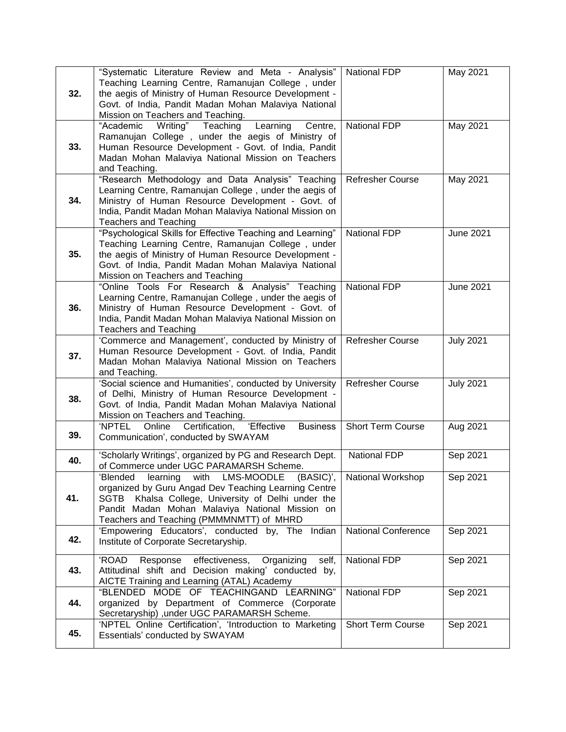| 32. | "Systematic Literature Review and Meta - Analysis"<br>Teaching Learning Centre, Ramanujan College, under<br>the aegis of Ministry of Human Resource Development -<br>Govt. of India, Pandit Madan Mohan Malaviya National<br>Mission on Teachers and Teaching.                               | <b>National FDP</b>      | May 2021         |
|-----|----------------------------------------------------------------------------------------------------------------------------------------------------------------------------------------------------------------------------------------------------------------------------------------------|--------------------------|------------------|
| 33. | Writing" Teaching<br>National FDP<br>"Academic<br>Centre,<br>Learning<br>Ramanujan College, under the aegis of Ministry of<br>Human Resource Development - Govt. of India, Pandit<br>Madan Mohan Malaviya National Mission on Teachers<br>and Teaching.                                      |                          | May 2021         |
| 34. | "Research Methodology and Data Analysis" Teaching<br><b>Refresher Course</b><br>Learning Centre, Ramanujan College, under the aegis of<br>Ministry of Human Resource Development - Govt. of<br>India, Pandit Madan Mohan Malaviya National Mission on<br><b>Teachers and Teaching</b>        |                          | May 2021         |
| 35. | "Psychological Skills for Effective Teaching and Learning"<br><b>National FDP</b><br>Teaching Learning Centre, Ramanujan College, under<br>the aegis of Ministry of Human Resource Development -<br>Govt. of India, Pandit Madan Mohan Malaviya National<br>Mission on Teachers and Teaching |                          | <b>June 2021</b> |
| 36. | "Online Tools For Research & Analysis" Teaching<br>Learning Centre, Ramanujan College, under the aegis of<br>Ministry of Human Resource Development - Govt. of<br>India, Pandit Madan Mohan Malaviya National Mission on<br><b>Teachers and Teaching</b>                                     | National FDP             | <b>June 2021</b> |
| 37. | 'Commerce and Management', conducted by Ministry of<br>Human Resource Development - Govt. of India, Pandit<br>Madan Mohan Malaviya National Mission on Teachers<br>and Teaching.                                                                                                             | <b>Refresher Course</b>  | <b>July 2021</b> |
| 38. | 'Social science and Humanities', conducted by University<br>of Delhi, Ministry of Human Resource Development -<br>Govt. of India, Pandit Madan Mohan Malaviya National<br>Mission on Teachers and Teaching.                                                                                  | Refresher Course         | <b>July 2021</b> |
| 39. | Online<br><b>Business</b><br>'NPTEL<br>Certification,<br>'Effective<br>Communication', conducted by SWAYAM                                                                                                                                                                                   | <b>Short Term Course</b> | Aug 2021         |
| 40. | 'Scholarly Writings', organized by PG and Research Dept.<br>of Commerce under UGC PARAMARSH Scheme.                                                                                                                                                                                          | National FDP             | Sep 2021         |
| 41. | learning with LMS-MOODLE<br>(BASIC)',<br>'Blended<br>organized by Guru Angad Dev Teaching Learning Centre<br>Khalsa College, University of Delhi under the<br><b>SGTB</b><br>Pandit Madan Mohan Malaviya National Mission on<br>Teachers and Teaching (PMMMNMTT) of MHRD                     | National Workshop        | Sep 2021         |
| 42. | 'Empowering Educators', conducted by, The Indian<br>Institute of Corporate Secretaryship.                                                                                                                                                                                                    | National Conference      | Sep 2021         |
| 43. | 'ROAD<br>Response effectiveness, Organizing<br>self,<br>Attitudinal shift and Decision making' conducted by,<br>AICTE Training and Learning (ATAL) Academy                                                                                                                                   | <b>National FDP</b>      | Sep 2021         |
| 44. | "BLENDED MODE OF TEACHINGAND LEARNING"<br>organized by Department of Commerce (Corporate<br>Secretaryship) , under UGC PARAMARSH Scheme.                                                                                                                                                     | <b>National FDP</b>      | Sep 2021         |
| 45. | 'NPTEL Online Certification', 'Introduction to Marketing<br>Essentials' conducted by SWAYAM                                                                                                                                                                                                  | <b>Short Term Course</b> | Sep 2021         |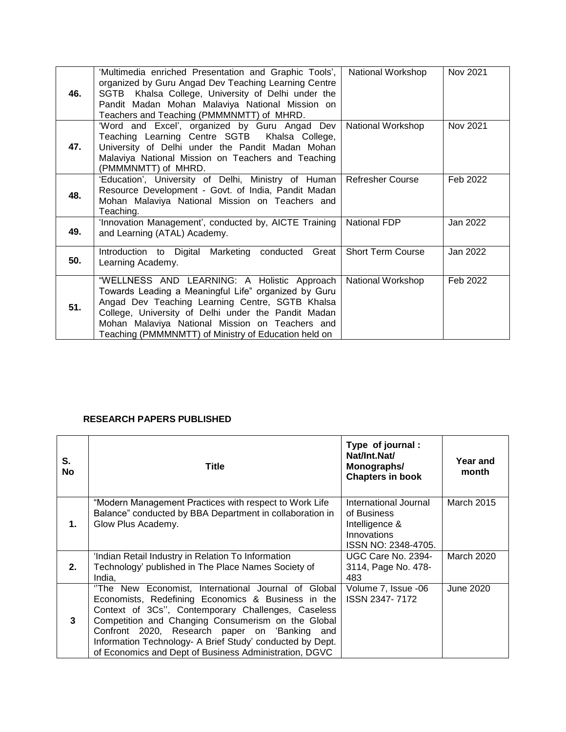| 46. | 'Multimedia enriched Presentation and Graphic Tools',  <br>organized by Guru Angad Dev Teaching Learning Centre<br>SGTB Khalsa College, University of Delhi under the<br>Pandit Madan Mohan Malaviya National Mission on<br>Teachers and Teaching (PMMMNMTT) of MHRD.                                                    | National Workshop        | Nov 2021 |
|-----|--------------------------------------------------------------------------------------------------------------------------------------------------------------------------------------------------------------------------------------------------------------------------------------------------------------------------|--------------------------|----------|
| 47. | 'Word and Excel', organized by Guru Angad Dev<br>Teaching Learning Centre SGTB Khalsa College,<br>University of Delhi under the Pandit Madan Mohan<br>Malaviya National Mission on Teachers and Teaching<br>(PMMMNMTT) of MHRD.                                                                                          | National Workshop        | Nov 2021 |
| 48. | 'Education', University of Delhi, Ministry of Human<br><b>Refresher Course</b><br>Resource Development - Govt. of India, Pandit Madan<br>Mohan Malaviya National Mission on Teachers and<br>Teaching.                                                                                                                    |                          | Feb 2022 |
| 49. | 'Innovation Management', conducted by, AICTE Training  <br>and Learning (ATAL) Academy.                                                                                                                                                                                                                                  | National FDP             | Jan 2022 |
| 50. | Introduction to Digital Marketing conducted<br>Great I<br>Learning Academy.                                                                                                                                                                                                                                              | <b>Short Term Course</b> | Jan 2022 |
| 51. | "WELLNESS AND LEARNING: A Holistic Approach<br>Towards Leading a Meaningful Life" organized by Guru<br>Angad Dev Teaching Learning Centre, SGTB Khalsa<br>College, University of Delhi under the Pandit Madan<br>Mohan Malaviya National Mission on Teachers and<br>Teaching (PMMMNMTT) of Ministry of Education held on | National Workshop        | Feb 2022 |

# **RESEARCH PAPERS PUBLISHED**

| S.<br><b>No</b> | Title                                                                                                                                                                                                                                                                                                                                                                                         | Type of journal :<br>Nat/Int.Nat/<br>Monographs/<br><b>Chapters in book</b>                  | Year and<br>month |
|-----------------|-----------------------------------------------------------------------------------------------------------------------------------------------------------------------------------------------------------------------------------------------------------------------------------------------------------------------------------------------------------------------------------------------|----------------------------------------------------------------------------------------------|-------------------|
| 1.              | "Modern Management Practices with respect to Work Life<br>Balance" conducted by BBA Department in collaboration in<br>Glow Plus Academy.                                                                                                                                                                                                                                                      | International Journal<br>of Business<br>Intelligence &<br>Innovations<br>ISSN NO: 2348-4705. | <b>March 2015</b> |
| 2.              | 'Indian Retail Industry in Relation To Information<br>Technology' published in The Place Names Society of<br>India,                                                                                                                                                                                                                                                                           | UGC Care No. 2394-<br>3114, Page No. 478-<br>483                                             | March 2020        |
| 3               | "The New Economist, International Journal of Global<br>Economists, Redefining Economics & Business in the<br>Context of 3Cs", Contemporary Challenges, Caseless<br>Competition and Changing Consumerism on the Global<br>Confront 2020, Research paper on 'Banking and<br>Information Technology- A Brief Study' conducted by Dept.<br>of Economics and Dept of Business Administration, DGVC | Volume 7, Issue -06<br>ISSN 2347-7172                                                        | June 2020         |